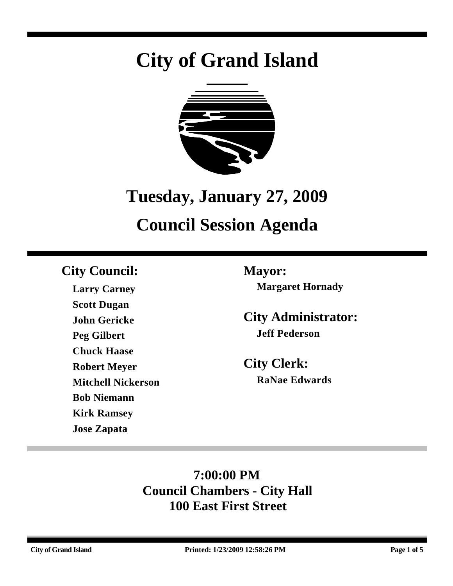# **City of Grand Island**



## **Tuesday, January 27, 2009**

## **Council Session Agenda**

## **City Council: Mayor:**

**Larry Carney Scott Dugan John Gericke Peg Gilbert Chuck Haase Robert Meyer Mitchell Nickerson Bob Niemann Kirk Ramsey Jose Zapata**

**Margaret Hornady**

**City Administrator: Jeff Pederson**

**City Clerk: RaNae Edwards**

## **7:00:00 PM Council Chambers - City Hall 100 East First Street**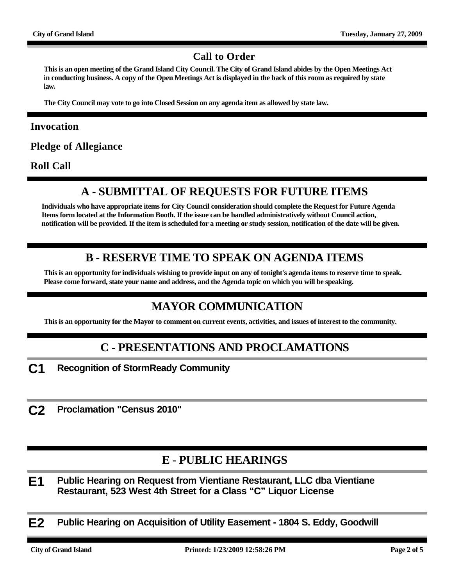#### **Call to Order**

**This is an open meeting of the Grand Island City Council. The City of Grand Island abides by the Open Meetings Act in conducting business. A copy of the Open Meetings Act is displayed in the back of this room as required by state law.**

**The City Council may vote to go into Closed Session on any agenda item as allowed by state law.**

#### **Invocation**

**Pledge of Allegiance**

**Roll Call**

#### **A - SUBMITTAL OF REQUESTS FOR FUTURE ITEMS**

**Individuals who have appropriate items for City Council consideration should complete the Request for Future Agenda Items form located at the Information Booth. If the issue can be handled administratively without Council action, notification will be provided. If the item is scheduled for a meeting or study session, notification of the date will be given.**

#### **B - RESERVE TIME TO SPEAK ON AGENDA ITEMS**

**This is an opportunity for individuals wishing to provide input on any of tonight's agenda items to reserve time to speak. Please come forward, state your name and address, and the Agenda topic on which you will be speaking.**

#### **MAYOR COMMUNICATION**

**This is an opportunity for the Mayor to comment on current events, activities, and issues of interest to the community.**

#### **C - PRESENTATIONS AND PROCLAMATIONS**

**C1 Recognition of StormReady Community**

**C2 Proclamation "Census 2010"**

#### **E - PUBLIC HEARINGS**

**E1 Public Hearing on Request from Vientiane Restaurant, LLC dba Vientiane Restaurant, 523 West 4th Street for a Class "C" Liquor License**

**E2 Public Hearing on Acquisition of Utility Easement - 1804 S. Eddy, Goodwill**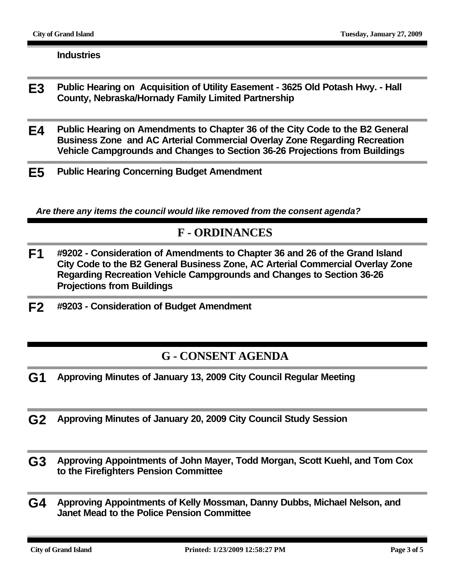#### **Industries**

- **E3 Public Hearing on Acquisition of Utility Easement 3625 Old Potash Hwy. Hall County, Nebraska/Hornady Family Limited Partnership**
- **E4 Public Hearing on Amendments to Chapter 36 of the City Code to the B2 General Business Zone and AC Arterial Commercial Overlay Zone Regarding Recreation Vehicle Campgrounds and Changes to Section 36-26 Projections from Buildings**
- **E5 Public Hearing Concerning Budget Amendment**

*Are there any items the council would like removed from the consent agenda?*

#### **F - ORDINANCES**

- **F1 #9202 Consideration of Amendments to Chapter 36 and 26 of the Grand Island City Code to the B2 General Business Zone, AC Arterial Commercial Overlay Zone Regarding Recreation Vehicle Campgrounds and Changes to Section 36-26 Projections from Buildings**
- **F2 #9203 Consideration of Budget Amendment**

#### **G - CONSENT AGENDA**

- **G1 Approving Minutes of January 13, 2009 City Council Regular Meeting**
- **G2 Approving Minutes of January 20, 2009 City Council Study Session**
- **G3 Approving Appointments of John Mayer, Todd Morgan, Scott Kuehl, and Tom Cox to the Firefighters Pension Committee**
- **G4 Approving Appointments of Kelly Mossman, Danny Dubbs, Michael Nelson, and Janet Mead to the Police Pension Committee**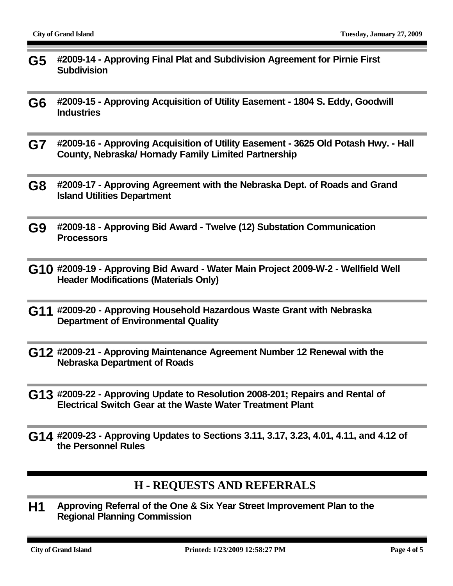- **G5 #2009-14 Approving Final Plat and Subdivision Agreement for Pirnie First Subdivision**
- **G6 #2009-15 Approving Acquisition of Utility Easement 1804 S. Eddy, Goodwill Industries**
- **G7 #2009-16 Approving Acquisition of Utility Easement 3625 Old Potash Hwy. Hall County, Nebraska/ Hornady Family Limited Partnership**
- **G8 #2009-17 Approving Agreement with the Nebraska Dept. of Roads and Grand Island Utilities Department**
- **G9 #2009-18 Approving Bid Award Twelve (12) Substation Communication Processors**
- **G10 #2009-19 Approving Bid Award Water Main Project 2009-W-2 Wellfield Well Header Modifications (Materials Only)**
- **G11 #2009-20 Approving Household Hazardous Waste Grant with Nebraska Department of Environmental Quality**
- **G12 #2009-21 Approving Maintenance Agreement Number 12 Renewal with the Nebraska Department of Roads**
- **G13 #2009-22 Approving Update to Resolution 2008-201; Repairs and Rental of Electrical Switch Gear at the Waste Water Treatment Plant**
- **G14 #2009-23 Approving Updates to Sections 3.11, 3.17, 3.23, 4.01, 4.11, and 4.12 of the Personnel Rules**

#### **H - REQUESTS AND REFERRALS**

**H1 Approving Referral of the One & Six Year Street Improvement Plan to the Regional Planning Commission**